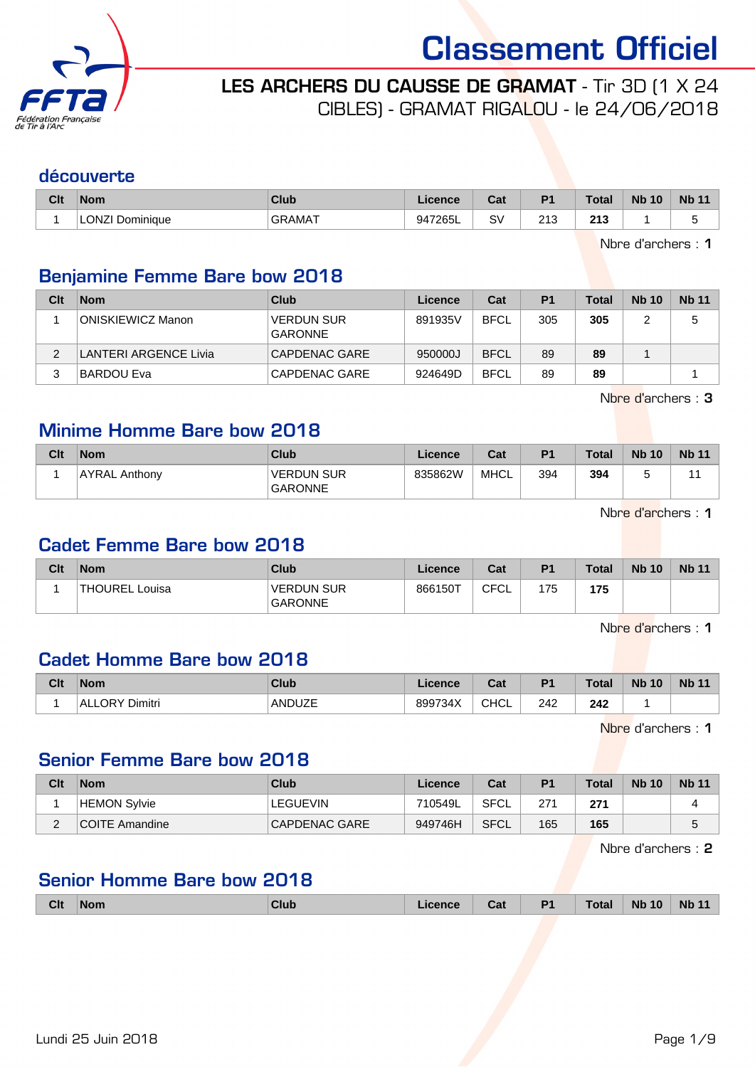

LES ARCHERS DU CAUSSE DE GRAMAT - Tir 3D (1 X 24

CIBLES) - GRAMAT RIGALOU - le 24/06/2018

#### découverte

| Clt | <b>Nom</b>         | Club    | .icence | r.,<br>val | D <sub>1</sub>         | <b>Total</b>         | <b>Nb 10</b> | <b>Nb</b> |
|-----|--------------------|---------|---------|------------|------------------------|----------------------|--------------|-----------|
|     | LONZI<br>Dominique | ،GRAMAT | 947265L | S۱         | つりつ<br>د ا ک<br>$\sim$ | 242<br>ں ا<br>$\sim$ |              |           |

Nbre d'archers : 1

# Benjamine Femme Bare bow 2018

| Clt      | <b>Nom</b>                   | Club                                | Licence | Cat         | P <sub>1</sub> | <b>Total</b> | <b>Nb</b> 10 | <b>Nb 11</b> |
|----------|------------------------------|-------------------------------------|---------|-------------|----------------|--------------|--------------|--------------|
|          | <b>ONISKIEWICZ Manon</b>     | <b>VERDUN SUR</b><br><b>GARONNE</b> | 891935V | <b>BFCL</b> | 305            | 305          |              | 5            |
| $\Omega$ | <b>LANTERI ARGENCE Livia</b> | CAPDENAC GARE                       | 950000J | <b>BFCL</b> | 89             | 89           |              |              |
| 3        | <b>BARDOU Eva</b>            | CAPDENAC GARE                       | 924649D | <b>BFCL</b> | 89             | 89           |              |              |

Nbre d'archers : 3

# Minime Homme Bare bow 2018

| Clt | <b>Nom</b>           | <b>Club</b>                         | Licence | Cat         | P <sub>1</sub> | Total | <b>Nb 10</b> | <b>Nb 11</b> |
|-----|----------------------|-------------------------------------|---------|-------------|----------------|-------|--------------|--------------|
|     | <b>AYRAL Anthony</b> | <b>VERDUN SUR</b><br><b>GARONNE</b> | 835862W | <b>MHCL</b> | 394            | 394   |              |              |

Nbre d'archers : 1

### Cadet Femme Bare bow 2018

| Clt | <b>Nom</b>            | Club                                | Licence | Cat  | P <sub>1</sub> | <b>Total</b> | <b>Nb 10</b> | <b>Nb 11</b> |
|-----|-----------------------|-------------------------------------|---------|------|----------------|--------------|--------------|--------------|
|     | <b>THOUREL Louisa</b> | <b>VERDUN SUR</b><br><b>GARONNE</b> | 866150T | CFCL | 175            | 175          |              |              |

Nbre d'archers : 1

### Cadet Homme Bare bow 2018

| Clt | <b>Nom</b>               | Club   | Licence | $R_{\rm{orb}}$<br>uai | D <sub>1</sub> | <b>Total</b> | <b>N<sub>b</sub></b><br>10 | <b>Nb</b> |
|-----|--------------------------|--------|---------|-----------------------|----------------|--------------|----------------------------|-----------|
|     | <b>ALLORY</b><br>Dimitri | ANDUZE | 899734X | <b>CHCL</b>           | 242            | 242          |                            |           |

Nbre d'archers : 1

#### Senior Femme Bare bow 2018

| Clt         | <b>Nom</b>          | Club          | Licence | Cat  | P1  | <b>Total</b> | <b>Nb 10</b> | <b>Nb 11</b> |
|-------------|---------------------|---------------|---------|------|-----|--------------|--------------|--------------|
|             | <b>HEMON Sylvie</b> | LEGUEVIN      | 710549L | SFCL | 271 | 271          |              |              |
| $\sim$<br>∼ | COITE Amandine      | CAPDENAC GARE | 949746H | SFCL | 165 | 165          |              | G            |

Nbre d'archers : 2

### Senior Homme Bare bow 2018

|  | <b>Clt</b> | Nom | <b>Club</b> | cence | Cat | P <sub>1</sub> | Total | <b>N<sub>b</sub></b><br>10 | <b>N<sub>h</sub></b> |
|--|------------|-----|-------------|-------|-----|----------------|-------|----------------------------|----------------------|
|--|------------|-----|-------------|-------|-----|----------------|-------|----------------------------|----------------------|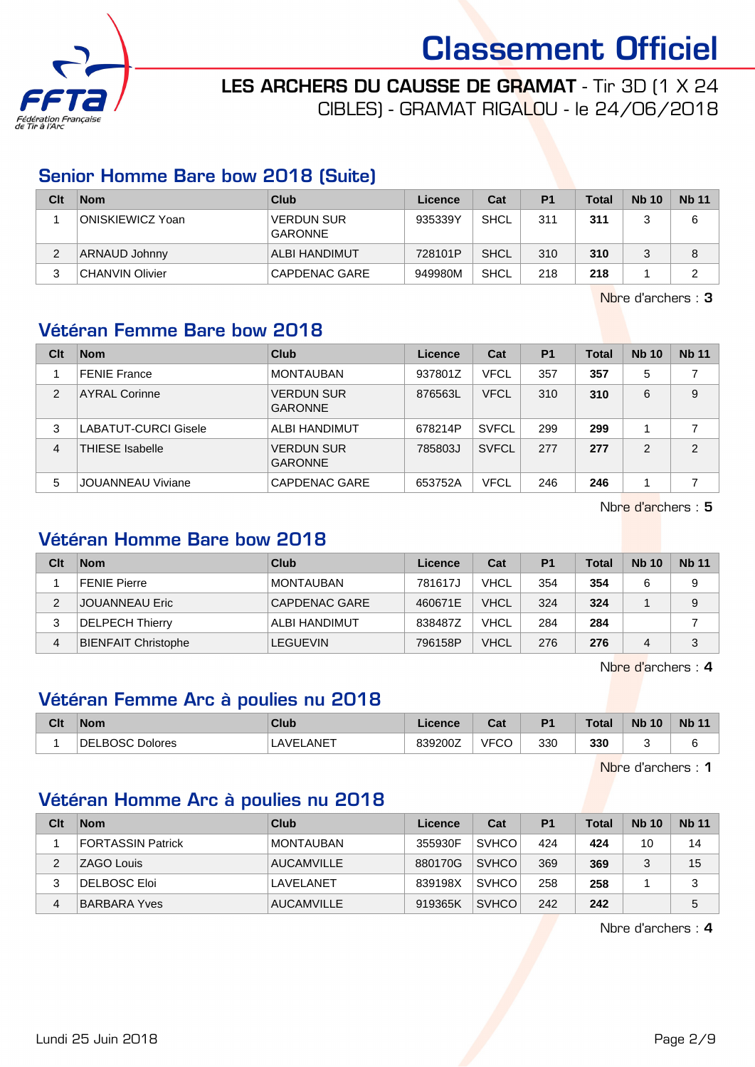

LES ARCHERS DU CAUSSE DE GRAMAT - Tir 3D (1 X 24 CIBLES) - GRAMAT RIGALOU - le 24/06/2018

### Senior Homme Bare bow 2018 (Suite)

| Clt | <b>Nom</b>       | Club                                | Licence | Cat         | P <sub>1</sub> | <b>Total</b> | <b>Nb 10</b> | <b>Nb 11</b> |
|-----|------------------|-------------------------------------|---------|-------------|----------------|--------------|--------------|--------------|
|     | ONISKIEWICZ Yoan | <b>VERDUN SUR</b><br><b>GARONNE</b> | 935339Y | SHCL        | 311            | 311          |              | 6            |
| 2   | ARNAUD Johnny    | <b>ALBI HANDIMUT</b>                | 728101P | <b>SHCL</b> | 310            | 310          |              | 8            |
| 3   | CHANVIN Olivier  | CAPDENAC GARE                       | 949980M | SHCL        | 218            | 218          |              | ົ            |

Nbre d'archers : 3

# Vétéran Femme Bare bow 2018

| Clt            | <b>Nom</b>                  | Club                                | Licence | Cat          | P <sub>1</sub> | <b>Total</b> | <b>Nb 10</b> | <b>Nb 11</b>   |
|----------------|-----------------------------|-------------------------------------|---------|--------------|----------------|--------------|--------------|----------------|
|                | <b>FENIE France</b>         | <b>MONTAUBAN</b>                    | 937801Z | <b>VFCL</b>  | 357            | 357          | 5            |                |
| $\overline{2}$ | <b>AYRAL Corinne</b>        | <b>VERDUN SUR</b><br><b>GARONNE</b> | 876563L | <b>VFCL</b>  | 310            | 310          | 6            | 9              |
| 3              | <b>LABATUT-CURCI Gisele</b> | ALBI HANDIMUT                       | 678214P | <b>SVFCL</b> | 299            | 299          |              | 7              |
| $\overline{4}$ | <b>THIESE Isabelle</b>      | <b>VERDUN SUR</b><br><b>GARONNE</b> | 785803J | <b>SVFCL</b> | 277            | 277          | 2            | $\overline{2}$ |
| 5              | JOUANNEAU Viviane           | CAPDENAC GARE                       | 653752A | <b>VFCL</b>  | 246            | 246          |              |                |

Nbre d'archers : 5

# Vétéran Homme Bare bow 2018

| Clt    | <b>Nom</b>                 | Club             | Licence | Cat         | P <sub>1</sub> | <b>Total</b> | <b>Nb 10</b> | <b>Nb 11</b> |
|--------|----------------------------|------------------|---------|-------------|----------------|--------------|--------------|--------------|
|        | <b>FENIE Pierre</b>        | <b>MONTAUBAN</b> | 781617J | <b>VHCL</b> | 354            | 354          |              | 9            |
| ◠<br>∠ | JOUANNEAU Eric             | CAPDENAC GARE    | 460671E | <b>VHCL</b> | 324            | 324          |              | 9            |
| 3      | <b>DELPECH Thierry</b>     | ALBI HANDIMUT    | 838487Z | <b>VHCL</b> | 284            | 284          |              |              |
| 4      | <b>BIENFAIT Christophe</b> | <b>LEGUEVIN</b>  | 796158P | <b>VHCL</b> | 276            | 276          | 4            | 3            |

Nbre d'archers : 4

# Vétéran Femme Arc à poulies nu 2018

| Clt | Nom                    | <b>Club</b> | Licence | $F - F$<br>ual | P <sub>1</sub> | <b>Total</b> | <b>Nb 10</b> | <b>Nb 11</b> |
|-----|------------------------|-------------|---------|----------------|----------------|--------------|--------------|--------------|
|     | <b>DELBOSC Dolores</b> | LAVELANET   | 839200Z | <b>VFCC</b>    | 330            | 330          |              |              |

Nbre d'archers : 1

# Vétéran Homme Arc à poulies nu 2018

| Clt | <b>Nom</b>               | Club              | Licence | Cat          | P <sub>1</sub> | <b>Total</b> | <b>Nb 10</b> | <b>Nb 11</b> |
|-----|--------------------------|-------------------|---------|--------------|----------------|--------------|--------------|--------------|
|     | <b>FORTASSIN Patrick</b> | I MONTAUBAN       | 355930F | <b>SVHCO</b> | 424            | 424          | 10           | 14           |
| ◠   | ZAGO Louis               | <b>AUCAMVILLE</b> | 880170G | <b>SVHCO</b> | 369            | 369          | ◠            | 15           |
| 3   | DELBOSC Eloi             | LAVELANET         | 839198X | <b>SVHCO</b> | 258            | 258          |              | 3            |
| 4   | <b>BARBARA Yves</b>      | <b>AUCAMVILLE</b> | 919365K | <b>SVHCO</b> | 242            | 242          |              | 5            |

Nbre d'archers : 4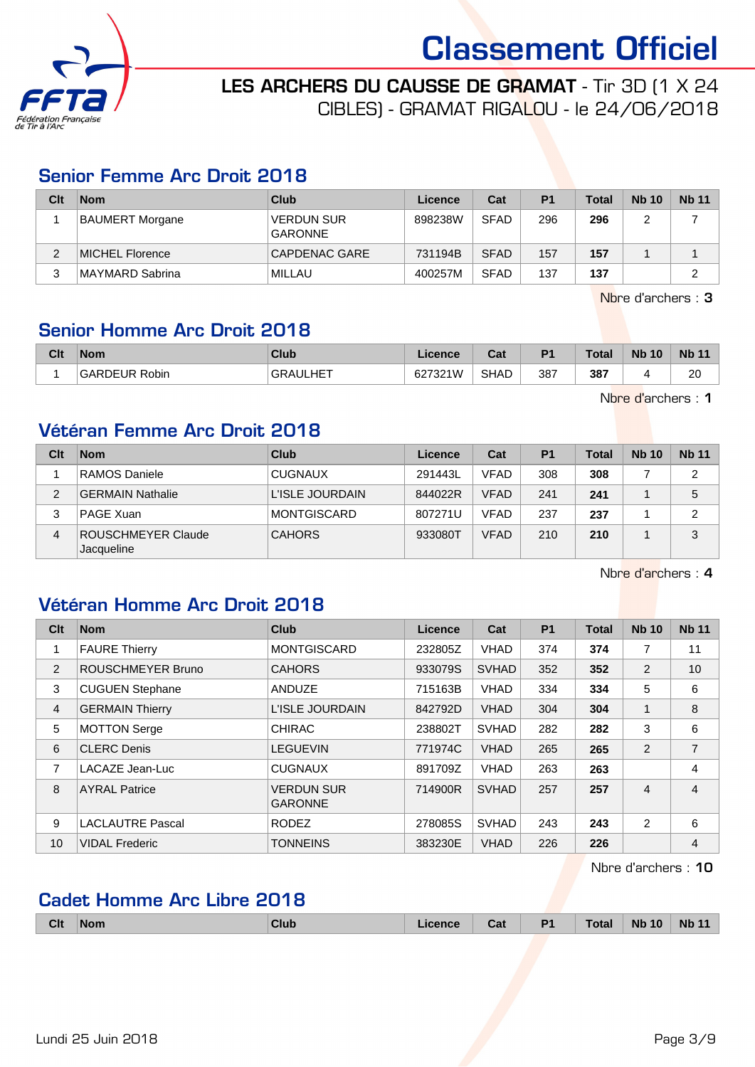



LES ARCHERS DU CAUSSE DE GRAMAT - Tir 3D (1 X 24 CIBLES) - GRAMAT RIGALOU - le 24/06/2018

### Senior Femme Arc Droit 2018

| Clt | <b>Nom</b>             | Club                                | Licence | Cat         | P <sub>1</sub> | <b>Total</b> | <b>Nb 10</b> | <b>Nb 11</b> |
|-----|------------------------|-------------------------------------|---------|-------------|----------------|--------------|--------------|--------------|
|     | <b>BAUMERT Morgane</b> | <b>VERDUN SUR</b><br><b>GARONNE</b> | 898238W | <b>SFAD</b> | 296            | 296          |              |              |
|     | MICHEL Florence        | CAPDENAC GARE                       | 731194B | <b>SFAD</b> | 157            | 157          |              |              |
| 3   | MAYMARD Sabrina        | MILLAU                              | 400257M | <b>SFAD</b> | 137            | 137          |              | ົ            |

Nbre d'archers : 3

# Senior Homme Arc Droit 2018

| Clt | <b>Nom</b>              | <b>Club</b>           | Licence         | ่∩ื่อง<br>val | D <sub>4</sub> | Total | <b>N<sub>b</sub></b><br>10 | <b>N<sub>b</sub></b> |
|-----|-------------------------|-----------------------|-----------------|---------------|----------------|-------|----------------------------|----------------------|
|     | GAR<br>` Robin<br>RDEUR | <b>NULHET</b><br>GRAI | 627321W<br>، ےں | <b>SHAD</b>   | 387            | 387   |                            | $\sim$<br>ZU         |

Nbre d'archers : 1

# Vétéran Femme Arc Droit 2018

| Clt | <b>Nom</b>                       | Club               | Licence | Cat         | P <sub>1</sub> | Total | <b>Nb 10</b> | <b>Nb 11</b>   |
|-----|----------------------------------|--------------------|---------|-------------|----------------|-------|--------------|----------------|
|     | RAMOS Daniele                    | <b>CUGNAUX</b>     | 291443L | <b>VFAD</b> | 308            | 308   |              | 2              |
| າ   | <b>GERMAIN Nathalie</b>          | L'ISLE JOURDAIN    | 844022R | <b>VFAD</b> | 241            | 241   |              | 5              |
| 3   | PAGE Xuan                        | <b>MONTGISCARD</b> | 807271U | <b>VFAD</b> | 237            | 237   |              | $\overline{2}$ |
| 4   | ROUSCHMEYER Claude<br>Jacqueline | <b>CAHORS</b>      | 933080T | <b>VFAD</b> | 210            | 210   |              | 3              |

Nbre d'archers : 4

# Vétéran Homme Arc Droit 2018

| Clt            | <b>Nom</b>              | <b>Club</b>                         | <b>Licence</b> | Cat          | <b>P1</b> | <b>Total</b> | <b>Nb 10</b>   | <b>Nb 11</b>   |
|----------------|-------------------------|-------------------------------------|----------------|--------------|-----------|--------------|----------------|----------------|
|                | <b>FAURE Thierry</b>    | <b>MONTGISCARD</b>                  | 232805Z        | <b>VHAD</b>  | 374       | 374          | 7              | 11             |
| $\overline{2}$ | ROUSCHMEYER Bruno       | <b>CAHORS</b>                       | 933079S        | <b>SVHAD</b> | 352       | 352          | 2              | 10             |
| 3              | <b>CUGUEN Stephane</b>  | ANDUZE                              | 715163B        | <b>VHAD</b>  | 334       | 334          | 5              | 6              |
| $\overline{4}$ | <b>GERMAIN Thierry</b>  | L'ISLE JOURDAIN                     | 842792D        | <b>VHAD</b>  | 304       | 304          | 1              | 8              |
| 5              | <b>MOTTON Serge</b>     | <b>CHIRAC</b>                       | 238802T        | <b>SVHAD</b> | 282       | 282          | 3              | 6              |
| 6              | <b>CLERC Denis</b>      | <b>LEGUEVIN</b>                     | 771974C        | <b>VHAD</b>  | 265       | 265          | 2              | 7              |
| 7              | LACAZE Jean-Luc         | <b>CUGNAUX</b>                      | 891709Z        | <b>VHAD</b>  | 263       | 263          |                | 4              |
| 8              | <b>AYRAL Patrice</b>    | <b>VERDUN SUR</b><br><b>GARONNE</b> | 714900R        | <b>SVHAD</b> | 257       | 257          | $\overline{4}$ | $\overline{4}$ |
| 9              | <b>LACLAUTRE Pascal</b> | <b>RODEZ</b>                        | 278085S        | <b>SVHAD</b> | 243       | 243          | 2              | 6              |
| 10             | <b>VIDAL Frederic</b>   | <b>TONNEINS</b>                     | 383230E        | <b>VHAD</b>  | 226       | 226          |                | 4              |

Nbre d'archers : 10

# Cadet Homme Arc Libre 2018

|  | Clt<br><b>Nom</b> |  | <b>Club</b> | <i>cence</i> | Cat | D <sub>1</sub> | <b>Total</b> | <b>Nb</b><br>10 | <b>Nb</b><br>. .<br>. . |
|--|-------------------|--|-------------|--------------|-----|----------------|--------------|-----------------|-------------------------|
|--|-------------------|--|-------------|--------------|-----|----------------|--------------|-----------------|-------------------------|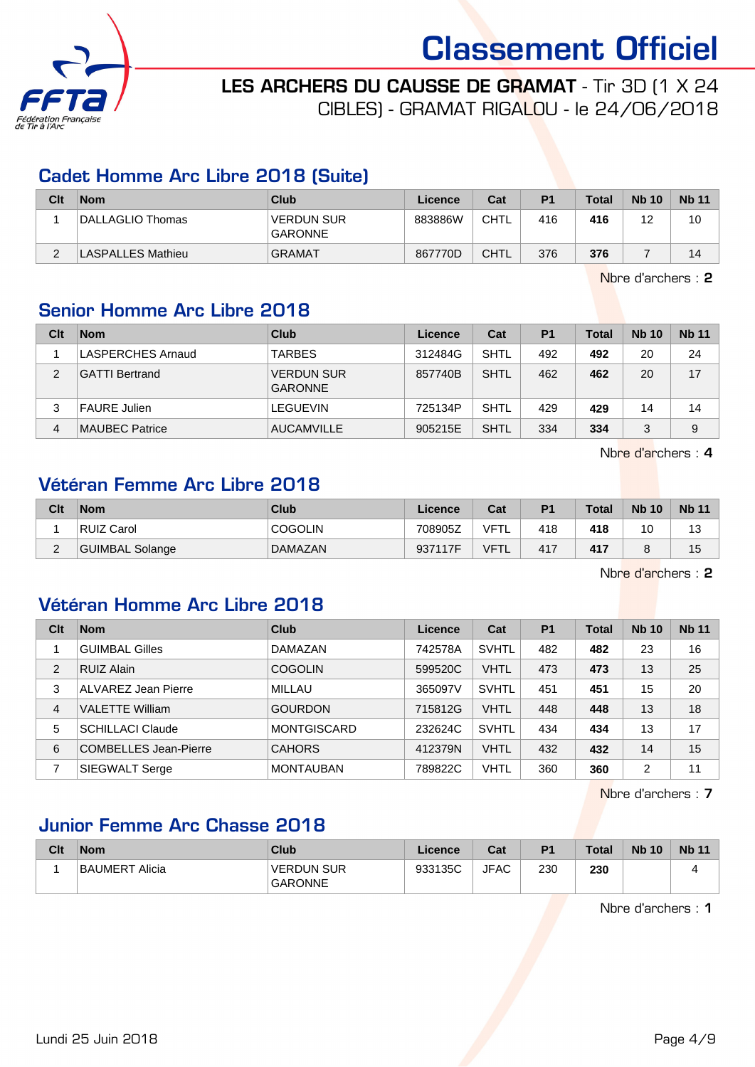

LES ARCHERS DU CAUSSE DE GRAMAT - Tir 3D (1 X 24 CIBLES) - GRAMAT RIGALOU - le 24/06/2018

### Cadet Homme Arc Libre 2018 (Suite)

| Clt | <b>Nom</b>        | Club                                | Licence | Cat         | P <sub>1</sub> | $\tau$ otal | <b>Nb 10</b> | <b>Nb 11</b> |
|-----|-------------------|-------------------------------------|---------|-------------|----------------|-------------|--------------|--------------|
|     | DALLAGLIO Thomas  | <b>VERDUN SUR</b><br><b>GARONNE</b> | 883886W | CHTL        | 416            | 416         | 12           | 10           |
|     | LASPALLES Mathieu | <b>GRAMAT</b>                       | 867770D | <b>CHTL</b> | 376            | 376         |              | 14           |

Nbre d'archers : 2

# Senior Homme Arc Libre 2018

| Clt | <b>Nom</b>               | Club                                | Licence | Cat         | P <sub>1</sub> | Total | <b>Nb 10</b> | <b>Nb 11</b> |
|-----|--------------------------|-------------------------------------|---------|-------------|----------------|-------|--------------|--------------|
|     | <b>LASPERCHES Arnaud</b> | <b>TARBES</b>                       | 312484G | <b>SHTL</b> | 492            | 492   | 20           | 24           |
| 2   | <b>GATTI Bertrand</b>    | <b>VERDUN SUR</b><br><b>GARONNE</b> | 857740B | <b>SHTL</b> | 462            | 462   | 20           | 17           |
| 3   | <b>FAURE Julien</b>      | LEGUEVIN                            | 725134P | <b>SHTL</b> | 429            | 429   | 14           | 14           |
| 4   | <b>MAUBEC Patrice</b>    | <b>AUCAMVILLE</b>                   | 905215E | <b>SHTL</b> | 334            | 334   | 3            | 9            |

Nbre d'archers : 4

#### Vétéran Femme Arc Libre 2018

| Clt      | <b>Nom</b>      | Club           | Licence | Cat         | P <sub>1</sub> | <b>Total</b> | <b>Nb 10</b> | <b>Nb 11</b> |
|----------|-----------------|----------------|---------|-------------|----------------|--------------|--------------|--------------|
|          | RUIZ Carol      | <b>COGOLIN</b> | 708905Z | VFTL        | 418            | 418          | 10           | 13           |
| <u>_</u> | GUIMBAL Solange | <b>DAMAZAN</b> | 937117F | <b>VFTL</b> | 417            | 417          |              | 15           |

Nbre d'archers : 2

# Vétéran Homme Arc Libre 2018

| Clt            | <b>Nom</b>                   | Club               | Licence | Cat          | <b>P1</b> | <b>Total</b> | <b>Nb 10</b> | <b>Nb 11</b> |
|----------------|------------------------------|--------------------|---------|--------------|-----------|--------------|--------------|--------------|
|                | <b>GUIMBAL Gilles</b>        | DAMAZAN            | 742578A | <b>SVHTL</b> | 482       | 482          | 23           | 16           |
| $\overline{2}$ | <b>RUIZ Alain</b>            | <b>COGOLIN</b>     | 599520C | <b>VHTL</b>  | 473       | 473          | 13           | 25           |
| 3              | ALVAREZ Jean Pierre          | MILLAU             | 365097V | <b>SVHTL</b> | 451       | 451          | 15           | 20           |
| $\overline{4}$ | <b>VALETTE William</b>       | <b>GOURDON</b>     | 715812G | <b>VHTL</b>  | 448       | 448          | 13           | 18           |
| 5              | <b>SCHILLACI Claude</b>      | <b>MONTGISCARD</b> | 232624C | <b>SVHTL</b> | 434       | 434          | 13           | 17           |
| 6              | <b>COMBELLES Jean-Pierre</b> | <b>CAHORS</b>      | 412379N | <b>VHTL</b>  | 432       | 432          | 14           | 15           |
|                | <b>SIEGWALT Serge</b>        | <b>MONTAUBAN</b>   | 789822C | <b>VHTL</b>  | 360       | 360          | 2            | 11           |

Nbre d'archers : 7

# Junior Femme Arc Chasse 2018

| Clt | <b>Nom</b>     | Club                                | Licence | Cat         | P <sub>1</sub> | Total | <b>Nb 10</b> | <b>Nb 11</b> |
|-----|----------------|-------------------------------------|---------|-------------|----------------|-------|--------------|--------------|
|     | BAUMERT Alicia | <b>VERDUN SUR</b><br><b>GARONNE</b> | 933135C | <b>JFAC</b> | 230            | 230   |              |              |

Nbre d'archers : 1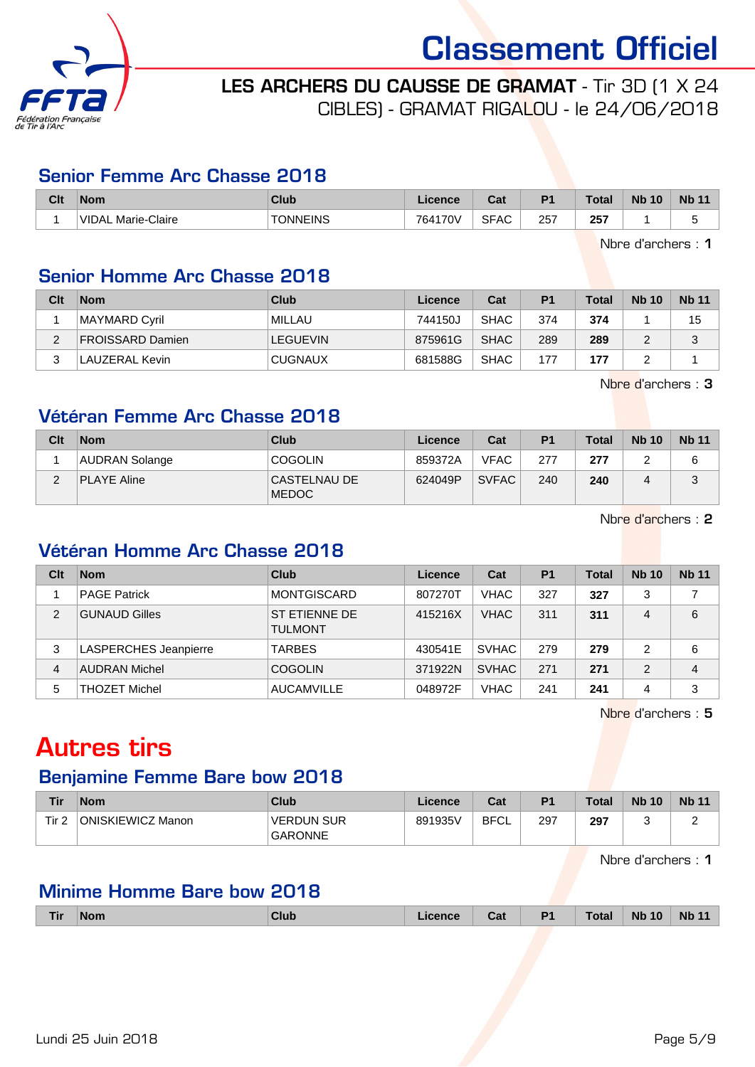



LES ARCHERS DU CAUSSE DE GRAMAT - Tir 3D (1 X 24 CIBLES) - GRAMAT RIGALOU - le 24/06/2018

#### Senior Femme Arc Chasse 2018

| Clt | <b>Nom</b>                         | Club     | icence  | <b>Cost</b><br>ual | D <sub>1</sub> | Total         | <b>Nb</b><br>10 | <b>Nb 11</b> |
|-----|------------------------------------|----------|---------|--------------------|----------------|---------------|-----------------|--------------|
|     | <b>VIDAL</b><br>-Claire<br>Marie-C | TONNEINS | 764170V | <b>SFAC</b>        | 257<br>__      | 257<br>$\sim$ |                 | . .          |

Nbre d'archers : 1

# Senior Homme Arc Chasse 2018

| Clt | <b>Nom</b>              | Club            | Licence | Cat         | P <sub>1</sub> | Total | <b>Nb 10</b> | <b>Nb 11</b> |
|-----|-------------------------|-----------------|---------|-------------|----------------|-------|--------------|--------------|
|     | MAYMARD Cyril           | MILLAU          | 744150J | <b>SHAC</b> | 374            | 374   |              | 15           |
| C   | <b>FROISSARD Damien</b> | <b>LEGUEVIN</b> | 875961G | <b>SHAC</b> | 289            | 289   |              |              |
| C   | <b>LAUZERAL Kevin</b>   | <b>CUGNAUX</b>  | 681588G | <b>SHAC</b> | 177            | 177   |              |              |

Nbre d'archers : 3

# Vétéran Femme Arc Chasse 2018

| Clt | <b>Nom</b>         | Club                         | Licence | Cat          | P <sub>1</sub> | <b>Total</b> | <b>Nb 10</b>   | <b>Nb 11</b> |
|-----|--------------------|------------------------------|---------|--------------|----------------|--------------|----------------|--------------|
|     | AUDRAN Solange     | <b>COGOLIN</b>               | 859372A | <b>VFAC</b>  | 277            | 277          |                | 6            |
| ົ   | <b>PLAYE Aline</b> | CASTELNAU DE<br><b>MEDOC</b> | 624049P | <b>SVFAC</b> | 240            | 240          | $\overline{ }$ | ن            |

Nbre d'archers : 2

# Vétéran Homme Arc Chasse 2018

| Clt | <b>Nom</b>                   | Club                            | Licence | Cat          | P <sub>1</sub> | Total | <b>Nb 10</b> | <b>Nb 11</b> |
|-----|------------------------------|---------------------------------|---------|--------------|----------------|-------|--------------|--------------|
|     | <b>PAGE Patrick</b>          | <b>MONTGISCARD</b>              | 807270T | <b>VHAC</b>  | 327            | 327   | 3            |              |
| 2   | <b>GUNAUD Gilles</b>         | ST ETIENNE DE<br><b>TULMONT</b> | 415216X | <b>VHAC</b>  | 311            | 311   | 4            | 6            |
| 3   | <b>LASPERCHES Jeanpierre</b> | <b>TARBES</b>                   | 430541E | <b>SVHAC</b> | 279            | 279   | っ            | 6            |
| 4   | <b>AUDRAN Michel</b>         | <b>COGOLIN</b>                  | 371922N | <b>SVHAC</b> | 271            | 271   | 2            | 4            |
| 5   | <b>THOZET Michel</b>         | <b>AUCAMVILLE</b>               | 048972F | <b>VHAC</b>  | 241            | 241   | 4            | 3            |

Nbre d'archers : 5

# Autres tirs

# Benjamine Femme Bare bow 2018

| Tir              | <b>Nom</b>        | Club                                | <b>Licence</b> | Cat         | P <sub>1</sub> | Total | <b>Nb 10</b> | <b>Nb 11</b> |
|------------------|-------------------|-------------------------------------|----------------|-------------|----------------|-------|--------------|--------------|
| Tir <sub>2</sub> | ONISKIEWICZ Manon | <b>VERDUN SUR</b><br><b>GARONNE</b> | 891935V        | <b>BFCL</b> | 297            | 297   |              | -            |

Nbre d'archers : 1

# Minime Homme Bare bow 2018

| <b>Tir</b> | <b>Nom</b> | Club | .icence | Cat | P1 | Total | <b>Nb 10</b> | <b>Nb 11</b> |
|------------|------------|------|---------|-----|----|-------|--------------|--------------|
|            |            |      |         |     |    |       |              |              |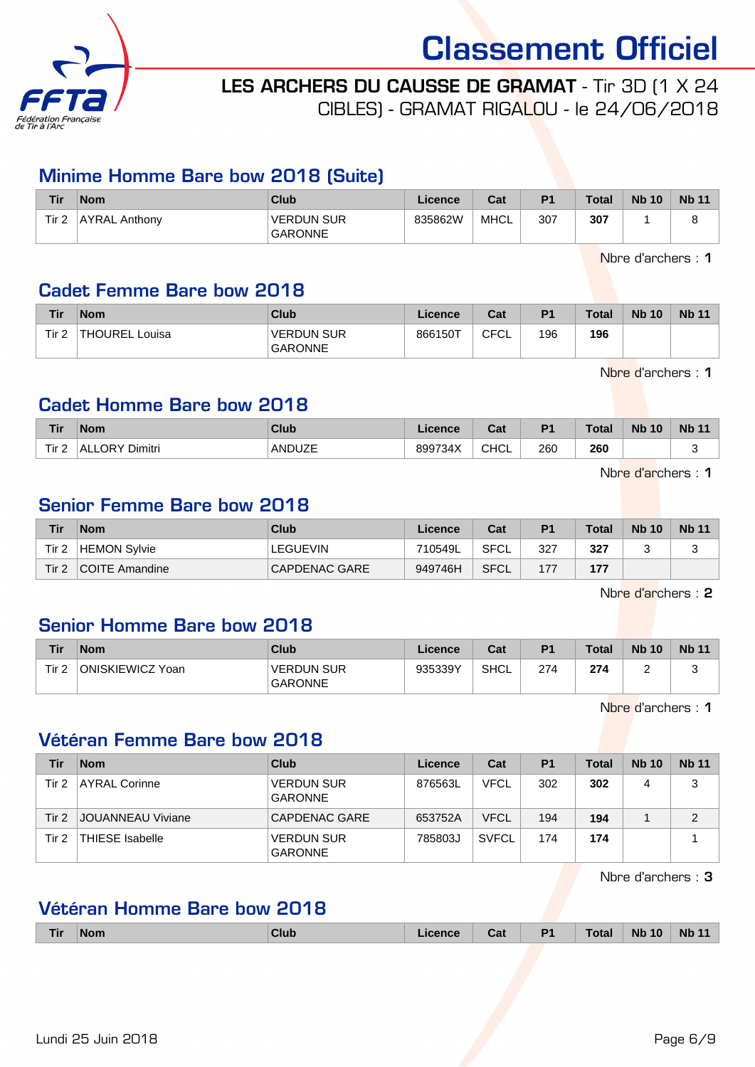

LES ARCHERS DU CAUSSE DE GRAMAT - Tir 3D (1 X 24

CIBLES) - GRAMAT RIGALOU - le 24/06/2018

### Minime Homme Bare bow 2018 (Suite)

| Tir   | <b>Nom</b>           | Club                                | ∟icence | Cat  | P <sub>1</sub> | <b>Total</b> | <b>Nb 10</b> | <b>Nb 11</b> |
|-------|----------------------|-------------------------------------|---------|------|----------------|--------------|--------------|--------------|
| Tir 2 | <b>AYRAL Anthony</b> | <b>VERDUN SUR</b><br><b>GARONNE</b> | 835862W | MHCL | 307            | 307          |              |              |

Nbre d'archers : 1

### Cadet Femme Bare bow 2018

| Tir              | <b>Nom</b>          | Club                                | Licence | Cat  | P <sub>1</sub> | <b>Total</b> | <b>Nb 10</b> | <b>Nb 11</b> |
|------------------|---------------------|-------------------------------------|---------|------|----------------|--------------|--------------|--------------|
| Tir <sub>2</sub> | THOUREL L<br>Louisa | <b>VERDUN SUR</b><br><b>GARONNE</b> | 866150T | CFCL | 196            | 196          |              |              |

Nbre d'archers : 1

### Cadet Homme Bare bow 2018

| <b>Tir</b> | <b>Nom</b>              | Club          | ence    | $\sim$<br>cal | D <sub>1</sub> | <b>Total</b> | <b>Nb</b><br>10 | <b>Nb</b> |
|------------|-------------------------|---------------|---------|---------------|----------------|--------------|-----------------|-----------|
| Tir 2      | Dimitri<br>าRY∶<br>'AL. | <b>ANDUZE</b> | 899734X | CHCL          | 260<br>__      | 260<br>- -   |                 | ັ         |

Nbre d'archers : 1

### Senior Femme Bare bow 2018

| <b>Tir</b>       | <b>Nom</b>     | Club            | Licence | Cat  | P <sub>1</sub> | <b>Total</b> | <b>Nb 10</b> | <b>Nb 11</b> |
|------------------|----------------|-----------------|---------|------|----------------|--------------|--------------|--------------|
| Tir <sub>2</sub> | HEMON Sylvie   | <b>LEGUEVIN</b> | 710549L | SFCL | 327            | 327          |              |              |
| Tir 2            | COITE Amandine | CAPDENAC GARE   | 949746H | SFCL |                | 177          |              |              |

Nbre d'archers : 2

# Senior Homme Bare bow 2018

| Tir              | <b>Nom</b>       | <b>Club</b>                         | Licence | Cat  | D <sub>1</sub> | <b>Total</b> | <b>Nb 10</b> | <b>Nb 11</b> |
|------------------|------------------|-------------------------------------|---------|------|----------------|--------------|--------------|--------------|
| Tir <sub>2</sub> | ONISKIEWICZ Yoan | <b>VERDUN SUR</b><br><b>GARONNE</b> | 935339Y | SHCL | 274            | 274          | -            |              |

Nbre d'archers : 1

### Vétéran Femme Bare bow 2018

| Tir   | <b>Nom</b>             | Club                                | Licence | Cat          | P <sub>1</sub> | <b>Total</b> | <b>Nb 10</b> | <b>Nb 11</b> |
|-------|------------------------|-------------------------------------|---------|--------------|----------------|--------------|--------------|--------------|
| Tir 2 | AYRAL Corinne          | <b>VERDUN SUR</b><br><b>GARONNE</b> | 876563L | <b>VFCL</b>  | 302            | 302          | 4            | 3            |
| Tir 2 | JOUANNEAU Viviane      | CAPDENAC GARE                       | 653752A | <b>VFCL</b>  | 194            | 194          |              | C            |
| Tir 2 | <b>THIESE Isabelle</b> | <b>VERDUN SUR</b><br><b>GARONNE</b> | 785803J | <b>SVFCL</b> | 174            | 174          |              |              |

Nbre d'archers : 3

# Vétéran Homme Bare bow 2018

| <b>Tir</b> | <b>Nom</b> | Club | Licence | Cat | <b>P1</b> | <b>Total</b> | <b>Nb 10</b> | <b>Nb 11</b> |
|------------|------------|------|---------|-----|-----------|--------------|--------------|--------------|
|            |            |      |         |     |           |              |              |              |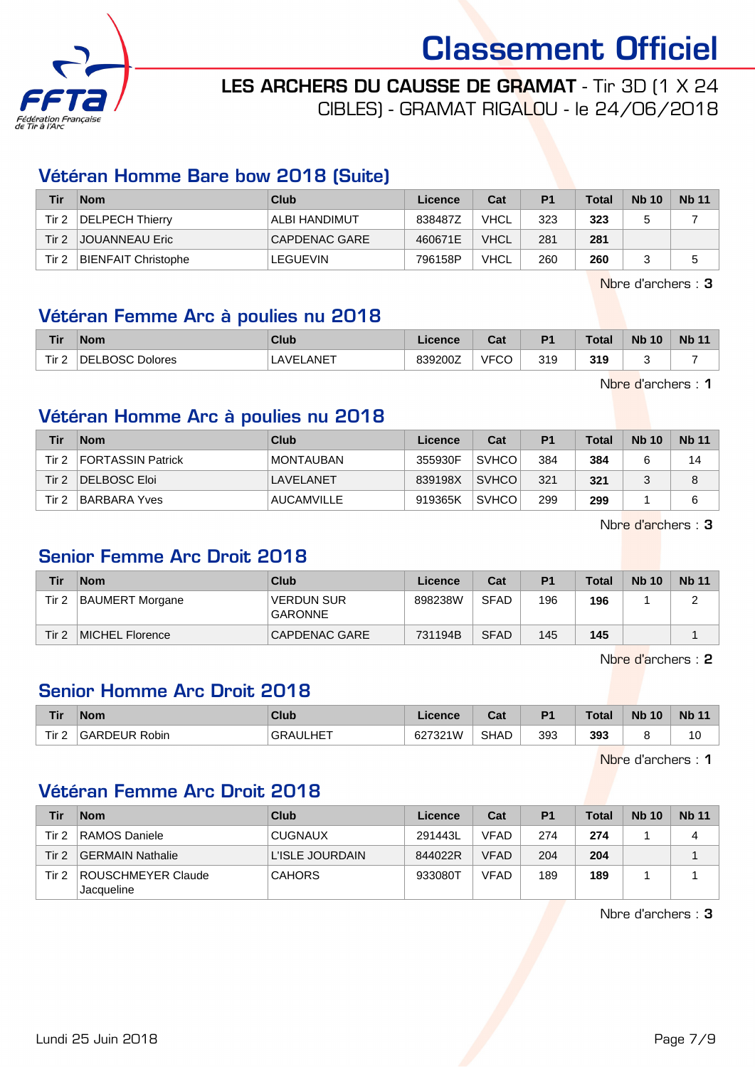



LES ARCHERS DU CAUSSE DE GRAMAT - Tir 3D (1 X 24

CIBLES) - GRAMAT RIGALOU - le 24/06/2018

# Vétéran Homme Bare bow 2018 (Suite)

| Tir      | <b>Nom</b>                 | Club            | Licence | Cat         | P1  | <b>Total</b> | <b>Nb 10</b> | <b>Nb 11</b> |
|----------|----------------------------|-----------------|---------|-------------|-----|--------------|--------------|--------------|
| Tir 2    | DELPECH Thierry            | ALBI HANDIMUT   | 838487Z | <b>VHCL</b> | 323 | 323          |              |              |
| $T$ ir 2 | <b>JOUANNEAU Eric</b>      | CAPDENAC GARE   | 460671E | <b>VHCL</b> | 281 | 281          |              |              |
| Tir 2    | <b>BIENFAIT Christophe</b> | <b>LEGUEVIN</b> | 796158P | <b>VHCL</b> | 260 | 260          |              |              |

Nbre d'archers : 3

# Vétéran Femme Arc à poulies nu 2018

| Tir                          | <b>Nom</b>           | Club         | <b>licence</b> | ີລະ<br>⊌a⊧       | D <sub>1</sub> | Total | <b>Nb 10</b> | <b>Nb 11</b> |
|------------------------------|----------------------|--------------|----------------|------------------|----------------|-------|--------------|--------------|
| Tir <sub>2</sub><br><u>_</u> | LBOSC Dolores<br>DEI | _ANE⊤<br>AVF | 839200Z        | <b>VFCC</b><br>◡ | 319            | 319   |              |              |

Nbre d'archers : 1

# Vétéran Homme Arc à poulies nu 2018

| Tir   | <b>Nom</b>          | Club              | Licence | Cat          | P <sub>1</sub> | <b>Total</b> | <b>Nb 10</b> | <b>Nb 11</b> |
|-------|---------------------|-------------------|---------|--------------|----------------|--------------|--------------|--------------|
| Tir 2 | FORTASSIN Patrick   | MONTAUBAN         | 355930F | <b>SVHCO</b> | 384            | 384          |              | 14           |
| Tir 2 | DELBOSC Eloi        | <b>LAVELANET</b>  | 839198X | <b>SVHCO</b> | 321            | 321          |              | 8            |
| Tir 2 | <b>BARBARA Yves</b> | <b>AUCAMVILLE</b> | 919365K | <b>SVHCO</b> | 299            | 299          |              | 6            |

Nbre d'archers : 3

# Senior Femme Arc Droit 2018

| Tir   | <b>Nom</b>             | Club                         | Licence | Cat         | P <sub>1</sub> | Total | <b>Nb 10</b> | <b>Nb 11</b> |
|-------|------------------------|------------------------------|---------|-------------|----------------|-------|--------------|--------------|
| Tir 2 | <b>BAUMERT Morgane</b> | <b>VERDUN SUR</b><br>GARONNE | 898238W | <b>SFAD</b> | 196            | 196   |              |              |
| Tir 2 | MICHEL Florence        | CAPDENAC GARE                | 731194B | <b>SFAD</b> | 145            | 145   |              |              |

Nbre d'archers : 2

# Senior Homme Arc Droit 2018

| Tir   | <b>Nom</b>           | Club            | Licence | $R_{\rm eff}$<br>⊍⊌ | D <sub>1</sub> | <b>Total</b> | 10<br><b>N<sub>b</sub></b> | <b>Nb 11</b> |
|-------|----------------------|-----------------|---------|---------------------|----------------|--------------|----------------------------|--------------|
| Tir 2 | <b>GARDEUR Robin</b> | <b>GRAULHET</b> | 627321W | <b>SHAD</b>         | 393            | 393          |                            | 10           |

Nbre d'archers : 1

# Vétéran Femme Arc Droit 2018

| Tir              | <b>Nom</b>                       | Club            | Licence | Cat         | P <sub>1</sub> | <b>Total</b> | <b>Nb 10</b> | <b>Nb 11</b> |
|------------------|----------------------------------|-----------------|---------|-------------|----------------|--------------|--------------|--------------|
| Tir 2            | RAMOS Daniele                    | <b>CUGNAUX</b>  | 291443L | <b>VFAD</b> | 274            | 274          |              | Δ            |
| Tir <sub>2</sub> | <b>GERMAIN Nathalie</b>          | L'ISLE JOURDAIN | 844022R | <b>VFAD</b> | 204            | 204          |              |              |
| Tir 2            | ROUSCHMEYER Claude<br>Jacqueline | <b>CAHORS</b>   | 933080T | <b>VFAD</b> | 189            | 189          |              |              |

Nbre d'archers : 3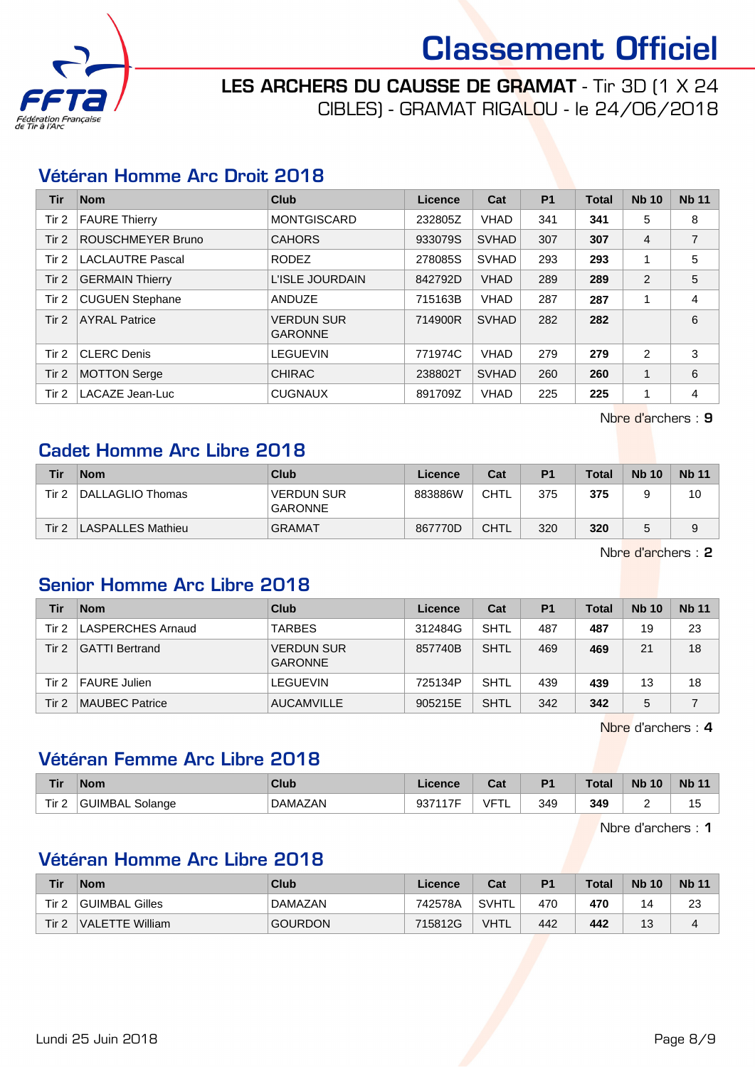

LES ARCHERS DU CAUSSE DE GRAMAT - Tir 3D (1 X 24 CIBLES) - GRAMAT RIGALOU - le 24/06/2018

### Vétéran Homme Arc Droit 2018

| <b>Tir</b> | <b>Nom</b>               | Club                                | Licence | Cat          | P <sub>1</sub> | <b>Total</b> | <b>Nb 10</b>   | <b>Nb 11</b>   |
|------------|--------------------------|-------------------------------------|---------|--------------|----------------|--------------|----------------|----------------|
| Tir 2      | <b>FAURE Thierry</b>     | <b>MONTGISCARD</b>                  | 232805Z | <b>VHAD</b>  | 341            | 341          | 5              | 8              |
| Tir 2      | <b>ROUSCHMEYER Bruno</b> | <b>CAHORS</b>                       | 933079S | <b>SVHAD</b> | 307            | 307          | $\overline{4}$ | $\overline{7}$ |
| Tir 2      | <b>LACLAUTRE Pascal</b>  | <b>RODEZ</b>                        | 278085S | <b>SVHAD</b> | 293            | 293          |                | 5              |
| Tir 2      | <b>GERMAIN Thierry</b>   | L'ISLE JOURDAIN                     | 842792D | <b>VHAD</b>  | 289            | 289          | 2              | 5              |
| Tir 2      | <b>CUGUEN Stephane</b>   | ANDUZE                              | 715163B | <b>VHAD</b>  | 287            | 287          |                | 4              |
| Tir $2$    | <b>AYRAL Patrice</b>     | <b>VERDUN SUR</b><br><b>GARONNE</b> | 714900R | <b>SVHAD</b> | 282            | 282          |                | 6              |
| Tir 2      | <b>CLERC Denis</b>       | LEGUEVIN                            | 771974C | <b>VHAD</b>  | 279            | 279          | 2              | 3              |
| Tir 2      | <b>MOTTON Serge</b>      | <b>CHIRAC</b>                       | 238802T | <b>SVHAD</b> | 260            | 260          |                | 6              |
| Tir 2      | LACAZE Jean-Luc          | <b>CUGNAUX</b>                      | 891709Z | <b>VHAD</b>  | 225            | 225          |                | 4              |

Nbre d'archers : 9

### Cadet Homme Arc Libre 2018

| Tir   | <b>Nom</b>        | Club                         | Licence | Cat         | P <sub>1</sub> | Total | <b>Nb 10</b> | <b>Nb 11</b> |
|-------|-------------------|------------------------------|---------|-------------|----------------|-------|--------------|--------------|
| Tir 2 | DALLAGLIO Thomas  | <b>VERDUN SUR</b><br>GARONNE | 883886W | <b>CHTL</b> | 375            | 375   |              | 10           |
| Tir 2 | LASPALLES Mathieu | <b>GRAMAT</b>                | 867770D | <b>CHTL</b> | 320            | 320   |              | 9            |

Nbre d'archers : 2

# Senior Homme Arc Libre 2018

| Tir   | <b>Nom</b>            | Club                                | Licence | Cat         | P <sub>1</sub> | <b>Total</b> | <b>Nb 10</b> | <b>Nb 11</b> |
|-------|-----------------------|-------------------------------------|---------|-------------|----------------|--------------|--------------|--------------|
| Tir 2 | LASPERCHES Arnaud     | <b>TARBES</b>                       | 312484G | SHTL        | 487            | 487          | 19           | 23           |
| Tir 2 | <b>GATTI Bertrand</b> | <b>VERDUN SUR</b><br><b>GARONNE</b> | 857740B | <b>SHTL</b> | 469            | 469          | 21           | 18           |
| Tir 2 | <b>FAURE Julien</b>   | LEGUEVIN                            | 725134P | <b>SHTL</b> | 439            | 439          | 13           | 18           |
| Tir 2 | <b>MAUBEC Patrice</b> | <b>AUCAMVILLE</b>                   | 905215E | <b>SHTL</b> | 342            | 342          | 5            |              |

Nbre d'archers : 4

# Vétéran Femme Arc Libre 2018

| <b>Tir</b> | <b>Nom</b>          | Club           | Licence       | Cat | P <sub>1</sub> | <b>Total</b> | <b>Nb 10</b> | <b>Nb 11</b>                   |
|------------|---------------------|----------------|---------------|-----|----------------|--------------|--------------|--------------------------------|
| Tir $2$    | ⊺GUIMBAL<br>Solange | <b>DAMAZAN</b> | 0271175<br>ວບ | VFT | 349            | 349<br>- -   | ∽<br>-       | $\overline{A}$<br>I.<br>$\sim$ |

Nbre d'archers : 1

# Vétéran Homme Arc Libre 2018

| Tir   | <b>Nom</b>      | Club           | Licence | Cat         | P <sub>1</sub> | <b>Total</b> | <b>Nb 10</b> | <b>Nb</b> 11 |
|-------|-----------------|----------------|---------|-------------|----------------|--------------|--------------|--------------|
| Tir 2 | GUIMBAL Gilles  | DAMAZAN        | 742578A | SVHTL       | 470            | 470          | ıд           | 23           |
| Tir 2 | VALETTE William | <b>GOURDON</b> | 715812G | <b>VHTL</b> | 442            | 442          | 10           | 4            |